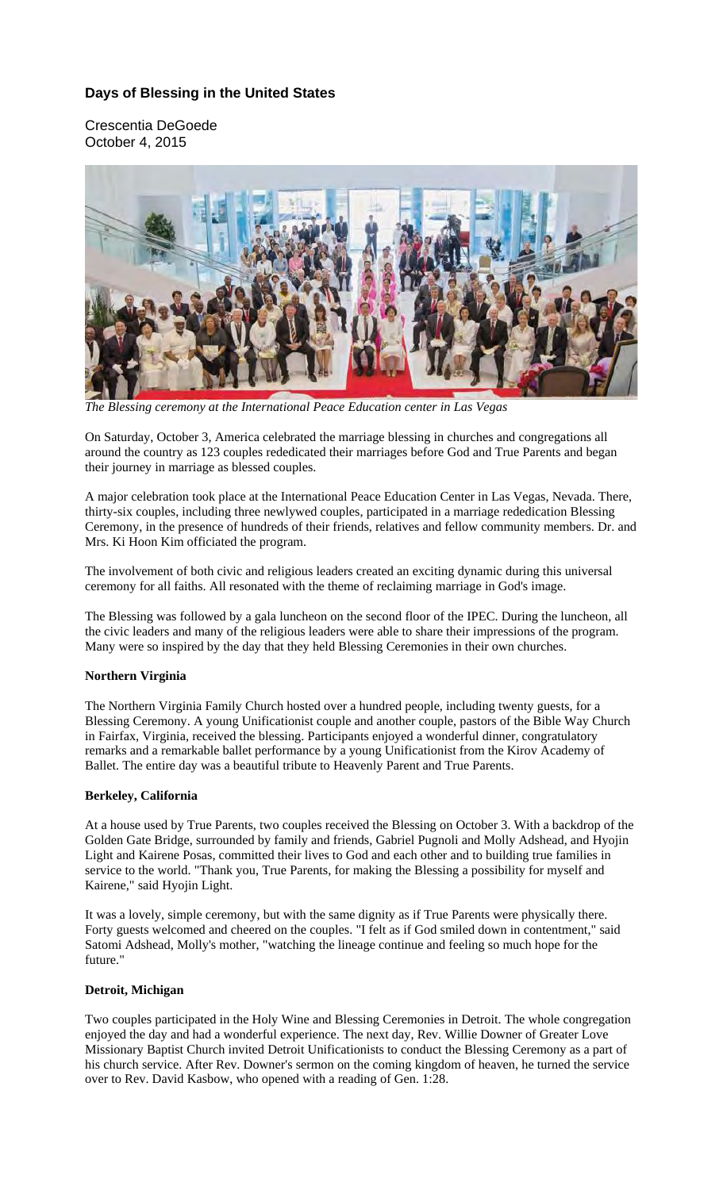# **Days of Blessing in the United States**

Crescentia DeGoede October 4, 2015



*The Blessing ceremony at the International Peace Education center in Las Vegas* 

On Saturday, October 3, America celebrated the marriage blessing in churches and congregations all around the country as 123 couples rededicated their marriages before God and True Parents and began their journey in marriage as blessed couples.

A major celebration took place at the International Peace Education Center in Las Vegas, Nevada. There, thirty-six couples, including three newlywed couples, participated in a marriage rededication Blessing Ceremony, in the presence of hundreds of their friends, relatives and fellow community members. Dr. and Mrs. Ki Hoon Kim officiated the program.

The involvement of both civic and religious leaders created an exciting dynamic during this universal ceremony for all faiths. All resonated with the theme of reclaiming marriage in God's image.

The Blessing was followed by a gala luncheon on the second floor of the IPEC. During the luncheon, all the civic leaders and many of the religious leaders were able to share their impressions of the program. Many were so inspired by the day that they held Blessing Ceremonies in their own churches.

### **Northern Virginia**

The Northern Virginia Family Church hosted over a hundred people, including twenty guests, for a Blessing Ceremony. A young Unificationist couple and another couple, pastors of the Bible Way Church in Fairfax, Virginia, received the blessing. Participants enjoyed a wonderful dinner, congratulatory remarks and a remarkable ballet performance by a young Unificationist from the Kirov Academy of Ballet. The entire day was a beautiful tribute to Heavenly Parent and True Parents.

### **Berkeley, California**

At a house used by True Parents, two couples received the Blessing on October 3. With a backdrop of the Golden Gate Bridge, surrounded by family and friends, Gabriel Pugnoli and Molly Adshead, and Hyojin Light and Kairene Posas, committed their lives to God and each other and to building true families in service to the world. "Thank you, True Parents, for making the Blessing a possibility for myself and Kairene," said Hyojin Light.

It was a lovely, simple ceremony, but with the same dignity as if True Parents were physically there. Forty guests welcomed and cheered on the couples. "I felt as if God smiled down in contentment," said Satomi Adshead, Molly's mother, "watching the lineage continue and feeling so much hope for the future."

### **Detroit, Michigan**

Two couples participated in the Holy Wine and Blessing Ceremonies in Detroit. The whole congregation enjoyed the day and had a wonderful experience. The next day, Rev. Willie Downer of Greater Love Missionary Baptist Church invited Detroit Unificationists to conduct the Blessing Ceremony as a part of his church service. After Rev. Downer's sermon on the coming kingdom of heaven, he turned the service over to Rev. David Kasbow, who opened with a reading of Gen. 1:28.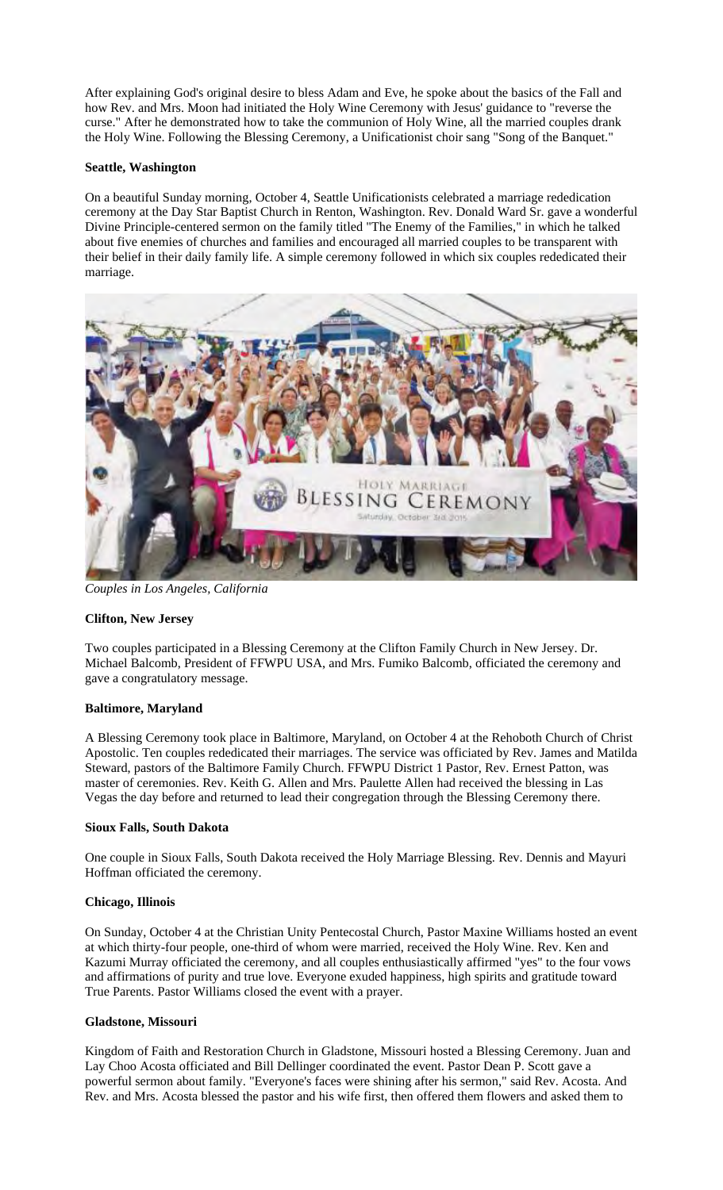After explaining God's original desire to bless Adam and Eve, he spoke about the basics of the Fall and how Rev. and Mrs. Moon had initiated the Holy Wine Ceremony with Jesus' guidance to "reverse the curse." After he demonstrated how to take the communion of Holy Wine, all the married couples drank the Holy Wine. Following the Blessing Ceremony, a Unificationist choir sang "Song of the Banquet."

## **Seattle, Washington**

On a beautiful Sunday morning, October 4, Seattle Unificationists celebrated a marriage rededication ceremony at the Day Star Baptist Church in Renton, Washington. Rev. Donald Ward Sr. gave a wonderful Divine Principle-centered sermon on the family titled "The Enemy of the Families," in which he talked about five enemies of churches and families and encouraged all married couples to be transparent with their belief in their daily family life. A simple ceremony followed in which six couples rededicated their marriage.



*Couples in Los Angeles, California* 

### **Clifton, New Jersey**

Two couples participated in a Blessing Ceremony at the Clifton Family Church in New Jersey. Dr. Michael Balcomb, President of FFWPU USA, and Mrs. Fumiko Balcomb, officiated the ceremony and gave a congratulatory message.

# **Baltimore, Maryland**

A Blessing Ceremony took place in Baltimore, Maryland, on October 4 at the Rehoboth Church of Christ Apostolic. Ten couples rededicated their marriages. The service was officiated by Rev. James and Matilda Steward, pastors of the Baltimore Family Church. FFWPU District 1 Pastor, Rev. Ernest Patton, was master of ceremonies. Rev. Keith G. Allen and Mrs. Paulette Allen had received the blessing in Las Vegas the day before and returned to lead their congregation through the Blessing Ceremony there.

### **Sioux Falls, South Dakota**

One couple in Sioux Falls, South Dakota received the Holy Marriage Blessing. Rev. Dennis and Mayuri Hoffman officiated the ceremony.

### **Chicago, Illinois**

On Sunday, October 4 at the Christian Unity Pentecostal Church, Pastor Maxine Williams hosted an event at which thirty-four people, one-third of whom were married, received the Holy Wine. Rev. Ken and Kazumi Murray officiated the ceremony, and all couples enthusiastically affirmed "yes" to the four vows and affirmations of purity and true love. Everyone exuded happiness, high spirits and gratitude toward True Parents. Pastor Williams closed the event with a prayer.

### **Gladstone, Missouri**

Kingdom of Faith and Restoration Church in Gladstone, Missouri hosted a Blessing Ceremony. Juan and Lay Choo Acosta officiated and Bill Dellinger coordinated the event. Pastor Dean P. Scott gave a powerful sermon about family. "Everyone's faces were shining after his sermon," said Rev. Acosta. And Rev. and Mrs. Acosta blessed the pastor and his wife first, then offered them flowers and asked them to